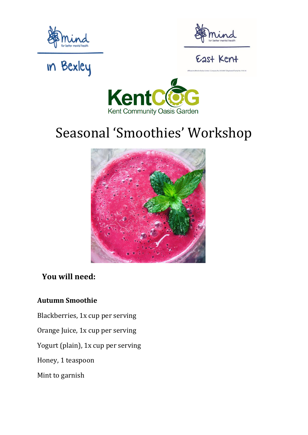



### East Kent

## **In Bexley**



### Seasonal 'Smoothies' Workshop



### **You will need:**

#### **Autumn Smoothie**

- Blackberries, 1x cup per serving
- Orange Juice, 1x cup per serving
- Yogurt (plain), 1x cup per serving
- Honey, 1 teaspoon
- Mint to garnish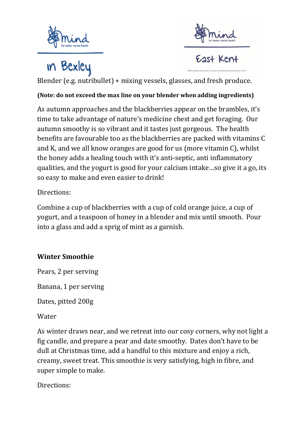



### **in Bexley**

East Kent

Blender (e.g. nutribullet) + mixing vessels, glasses, and fresh produce.

#### **(Note: do not exceed the max line on your blender when adding ingredients)**

As autumn approaches and the blackberries appear on the brambles, it's time to take advantage of nature's medicine chest and get foraging. Our autumn smoothy is so vibrant and it tastes just gorgeous. The health benefits are favourable too as the blackberries are packed with vitamins C and K, and we all know oranges are good for us (more vitamin C), whilst the honey adds a healing touch with it's anti-septic, anti inflammatory qualities, and the yogurt is good for your calcium intake…so give it a go, its so easy to make and even easier to drink!

Directions:

Combine a cup of blackberries with a cup of cold orange juice, a cup of yogurt, and a teaspoon of honey in a blender and mix until smooth. Pour into a glass and add a sprig of mint as a garnish.

#### **Winter Smoothie**

Pears, 2 per serving

Banana, 1 per serving

Dates, pitted 200g

Water

As winter draws near, and we retreat into our cosy corners, why not light a fig candle, and prepare a pear and date smoothy. Dates don't have to be dull at Christmas time, add a handful to this mixture and enjoy a rich, creamy, sweet treat. This smoothie is very satisfying, high in fibre, and super simple to make.

Directions: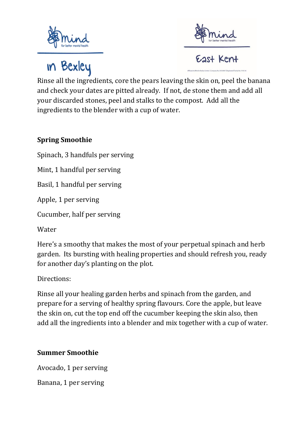



**In Bexley** 

Rinse all the ingredients, core the pears leaving the skin on, peel the banana and check your dates are pitted already. If not, de stone them and add all your discarded stones, peel and stalks to the compost. Add all the ingredients to the blender with a cup of water.

#### **Spring Smoothie**

Spinach, 3 handfuls per serving

Mint, 1 handful per serving

Basil, 1 handful per serving

Apple, 1 per serving

Cucumber, half per serving

Water

Here's a smoothy that makes the most of your perpetual spinach and herb garden. Its bursting with healing properties and should refresh you, ready for another day's planting on the plot.

Directions:

Rinse all your healing garden herbs and spinach from the garden, and prepare for a serving of healthy spring flavours. Core the apple, but leave the skin on, cut the top end off the cucumber keeping the skin also, then add all the ingredients into a blender and mix together with a cup of water.

#### **Summer Smoothie**

Avocado, 1 per serving

Banana, 1 per serving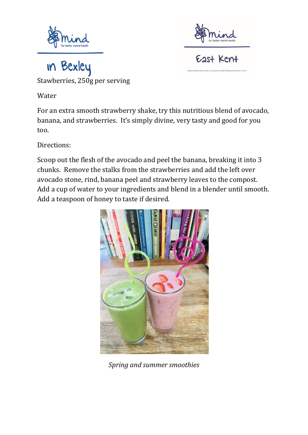



in Bexley Stawberries, 250g per serving

Water

For an extra smooth strawberry shake, try this nutritious blend of avocado, banana, and strawberries. It's simply divine, very tasty and good for you too.

Directions:

Scoop out the flesh of the avocado and peel the banana, breaking it into 3 chunks. Remove the stalks from the strawberries and add the left over avocado stone, rind, banana peel and strawberry leaves to the compost. Add a cup of water to your ingredients and blend in a blender until smooth. Add a teaspoon of honey to taste if desired.



*Spring and summer smoothies*